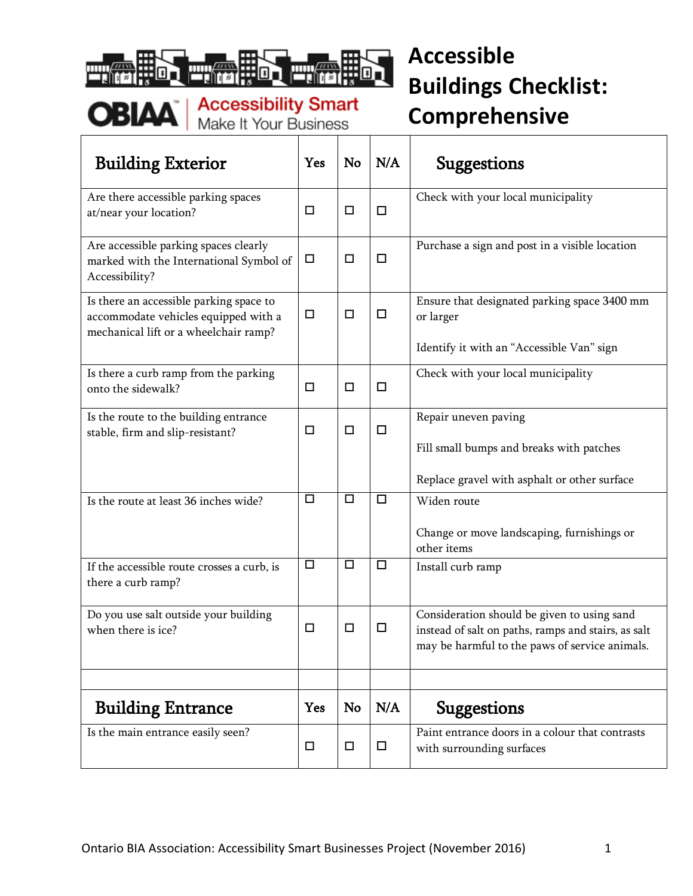

| <b>Building Exterior</b>                                                                                                 | Yes        | No     | N/A    | <b>Suggestions</b>                                                                                                                                   |
|--------------------------------------------------------------------------------------------------------------------------|------------|--------|--------|------------------------------------------------------------------------------------------------------------------------------------------------------|
| Are there accessible parking spaces<br>at/near your location?                                                            | □          | $\Box$ | $\Box$ | Check with your local municipality                                                                                                                   |
| Are accessible parking spaces clearly<br>marked with the International Symbol of<br>Accessibility?                       | $\Box$     | $\Box$ | $\Box$ | Purchase a sign and post in a visible location                                                                                                       |
| Is there an accessible parking space to<br>accommodate vehicles equipped with a<br>mechanical lift or a wheelchair ramp? | $\Box$     | $\Box$ | $\Box$ | Ensure that designated parking space 3400 mm<br>or larger                                                                                            |
|                                                                                                                          |            |        |        | Identify it with an "Accessible Van" sign                                                                                                            |
| Is there a curb ramp from the parking<br>onto the sidewalk?                                                              | □          | $\Box$ | $\Box$ | Check with your local municipality                                                                                                                   |
| Is the route to the building entrance                                                                                    | □          | $\Box$ | $\Box$ | Repair uneven paving                                                                                                                                 |
| stable, firm and slip-resistant?                                                                                         |            |        |        | Fill small bumps and breaks with patches                                                                                                             |
|                                                                                                                          |            |        |        | Replace gravel with asphalt or other surface                                                                                                         |
| Is the route at least 36 inches wide?                                                                                    | □          | $\Box$ | $\Box$ | Widen route                                                                                                                                          |
|                                                                                                                          |            |        |        | Change or move landscaping, furnishings or<br>other items                                                                                            |
| If the accessible route crosses a curb, is<br>there a curb ramp?                                                         | □          | $\Box$ | $\Box$ | Install curb ramp                                                                                                                                    |
| Do you use salt outside your building<br>when there is ice?                                                              | □          | $\Box$ | $\Box$ | Consideration should be given to using sand<br>instead of salt on paths, ramps and stairs, as salt<br>may be harmful to the paws of service animals. |
|                                                                                                                          |            |        |        |                                                                                                                                                      |
| <b>Building Entrance</b>                                                                                                 | <b>Yes</b> | No     | N/A    | <b>Suggestions</b>                                                                                                                                   |
| Is the main entrance easily seen?                                                                                        | □          | □      | $\Box$ | Paint entrance doors in a colour that contrasts<br>with surrounding surfaces                                                                         |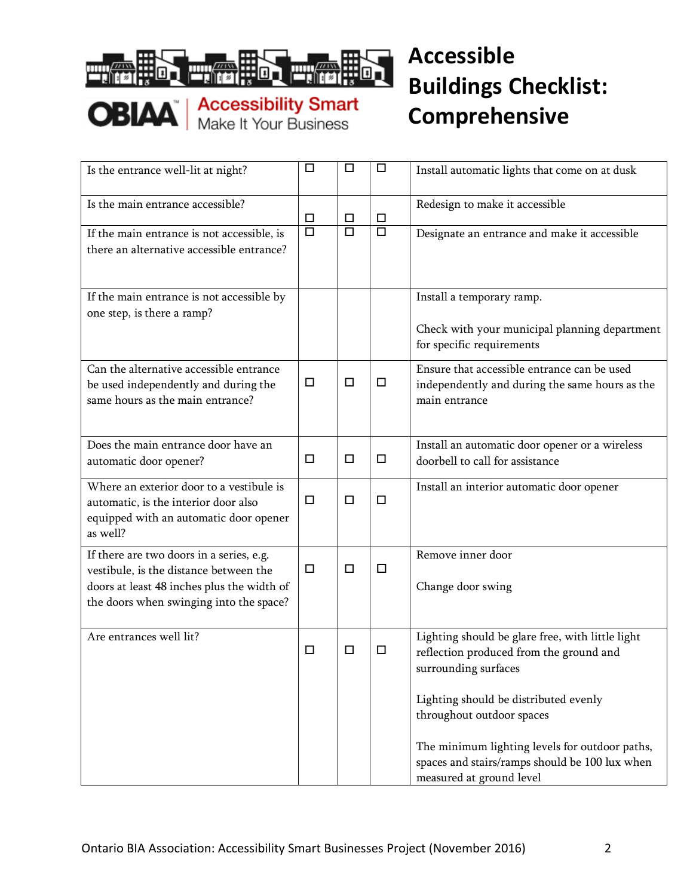

| Is the entrance well-lit at night?                                                                                                                                          | □      | □                    | $\Box$               | Install automatic lights that come on at dusk                                                                                                                                                      |
|-----------------------------------------------------------------------------------------------------------------------------------------------------------------------------|--------|----------------------|----------------------|----------------------------------------------------------------------------------------------------------------------------------------------------------------------------------------------------|
| Is the main entrance accessible?                                                                                                                                            | □      | □                    | $\Box$               | Redesign to make it accessible                                                                                                                                                                     |
| If the main entrance is not accessible, is<br>there an alternative accessible entrance?                                                                                     | $\Box$ | $\overline{\square}$ | $\overline{\square}$ | Designate an entrance and make it accessible                                                                                                                                                       |
| If the main entrance is not accessible by<br>one step, is there a ramp?                                                                                                     |        |                      |                      | Install a temporary ramp.<br>Check with your municipal planning department<br>for specific requirements                                                                                            |
| Can the alternative accessible entrance<br>be used independently and during the<br>same hours as the main entrance?                                                         | □      | $\Box$               | □                    | Ensure that accessible entrance can be used<br>independently and during the same hours as the<br>main entrance                                                                                     |
| Does the main entrance door have an<br>automatic door opener?                                                                                                               | □      | $\Box$               | $\Box$               | Install an automatic door opener or a wireless<br>doorbell to call for assistance                                                                                                                  |
| Where an exterior door to a vestibule is<br>automatic, is the interior door also<br>equipped with an automatic door opener<br>as well?                                      | $\Box$ | $\Box$               | $\Box$               | Install an interior automatic door opener                                                                                                                                                          |
| If there are two doors in a series, e.g.<br>vestibule, is the distance between the<br>doors at least 48 inches plus the width of<br>the doors when swinging into the space? | □      | $\Box$               | $\Box$               | Remove inner door<br>Change door swing                                                                                                                                                             |
| Are entrances well lit?                                                                                                                                                     | □      | □                    | □                    | Lighting should be glare free, with little light<br>reflection produced from the ground and<br>surrounding surfaces                                                                                |
|                                                                                                                                                                             |        |                      |                      | Lighting should be distributed evenly<br>throughout outdoor spaces<br>The minimum lighting levels for outdoor paths,<br>spaces and stairs/ramps should be 100 lux when<br>measured at ground level |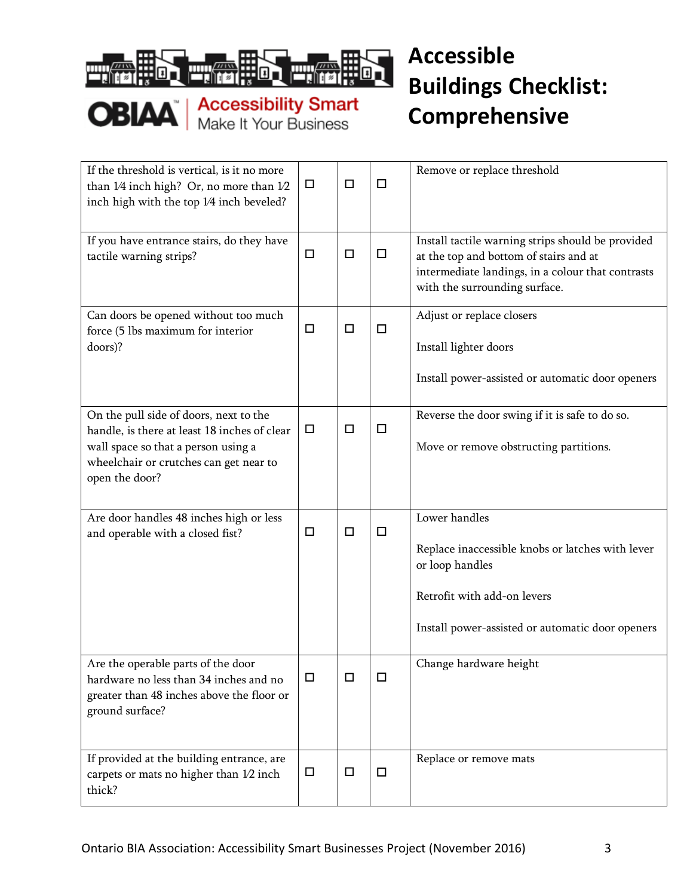



| If the threshold is vertical, is it no more<br>than 1/4 inch high? Or, no more than 1/2<br>inch high with the top 1/4 inch beveled?                                                       | $\Box$ | □      | □      | Remove or replace threshold                                                                                                                                                       |
|-------------------------------------------------------------------------------------------------------------------------------------------------------------------------------------------|--------|--------|--------|-----------------------------------------------------------------------------------------------------------------------------------------------------------------------------------|
| If you have entrance stairs, do they have<br>tactile warning strips?                                                                                                                      | $\Box$ | □      | □      | Install tactile warning strips should be provided<br>at the top and bottom of stairs and at<br>intermediate landings, in a colour that contrasts<br>with the surrounding surface. |
| Can doors be opened without too much<br>force (5 lbs maximum for interior<br>doors)?                                                                                                      | □      | $\Box$ | □      | Adjust or replace closers<br>Install lighter doors<br>Install power-assisted or automatic door openers                                                                            |
| On the pull side of doors, next to the<br>handle, is there at least 18 inches of clear<br>wall space so that a person using a<br>wheelchair or crutches can get near to<br>open the door? | $\Box$ | □      | $\Box$ | Reverse the door swing if it is safe to do so.<br>Move or remove obstructing partitions.                                                                                          |
| Are door handles 48 inches high or less<br>and operable with a closed fist?                                                                                                               | $\Box$ | $\Box$ | $\Box$ | Lower handles<br>Replace inaccessible knobs or latches with lever<br>or loop handles<br>Retrofit with add-on levers<br>Install power-assisted or automatic door openers           |
| Are the operable parts of the door<br>hardware no less than 34 inches and no<br>greater than 48 inches above the floor or<br>ground surface?                                              | □      | □      | □      | Change hardware height                                                                                                                                                            |
| If provided at the building entrance, are<br>carpets or mats no higher than 1/2 inch<br>thick?                                                                                            | □      | $\Box$ | $\Box$ | Replace or remove mats                                                                                                                                                            |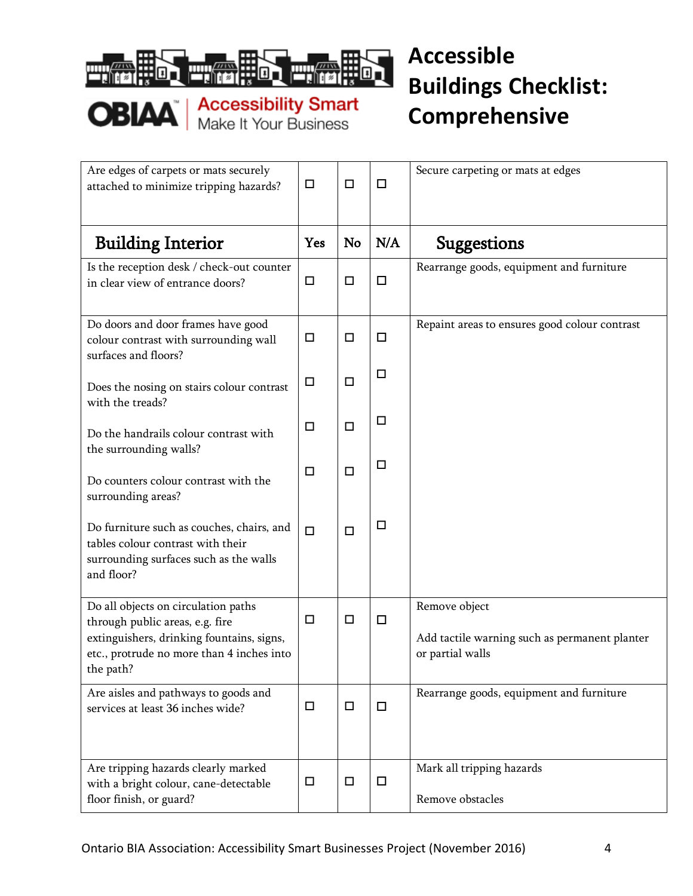

| Are edges of carpets or mats securely<br>attached to minimize tripping hazards?                                                                                               | □      | $\Box$ | $\Box$ | Secure carpeting or mats at edges                                                  |
|-------------------------------------------------------------------------------------------------------------------------------------------------------------------------------|--------|--------|--------|------------------------------------------------------------------------------------|
| <b>Building Interior</b>                                                                                                                                                      | Yes    | No     | N/A    | <b>Suggestions</b>                                                                 |
| Is the reception desk / check-out counter<br>in clear view of entrance doors?                                                                                                 | □      | $\Box$ | $\Box$ | Rearrange goods, equipment and furniture                                           |
| Do doors and door frames have good<br>colour contrast with surrounding wall<br>surfaces and floors?                                                                           | $\Box$ | $\Box$ | $\Box$ | Repaint areas to ensures good colour contrast                                      |
| Does the nosing on stairs colour contrast<br>with the treads?                                                                                                                 | $\Box$ | $\Box$ | $\Box$ |                                                                                    |
| Do the handrails colour contrast with<br>the surrounding walls?                                                                                                               | □      | $\Box$ | $\Box$ |                                                                                    |
| Do counters colour contrast with the<br>surrounding areas?                                                                                                                    | □      | $\Box$ | $\Box$ |                                                                                    |
| Do furniture such as couches, chairs, and<br>tables colour contrast with their<br>surrounding surfaces such as the walls<br>and floor?                                        | $\Box$ | $\Box$ | $\Box$ |                                                                                    |
| Do all objects on circulation paths<br>through public areas, e.g. fire<br>extinguishers, drinking fountains, signs,<br>etc., protrude no more than 4 inches into<br>the path? | □      | $\Box$ | $\Box$ | Remove object<br>Add tactile warning such as permanent planter<br>or partial walls |
| Are aisles and pathways to goods and<br>services at least 36 inches wide?                                                                                                     | □      | $\Box$ | □      | Rearrange goods, equipment and furniture                                           |
| Are tripping hazards clearly marked<br>with a bright colour, cane-detectable<br>floor finish, or guard?                                                                       | $\Box$ | $\Box$ | $\Box$ | Mark all tripping hazards<br>Remove obstacles                                      |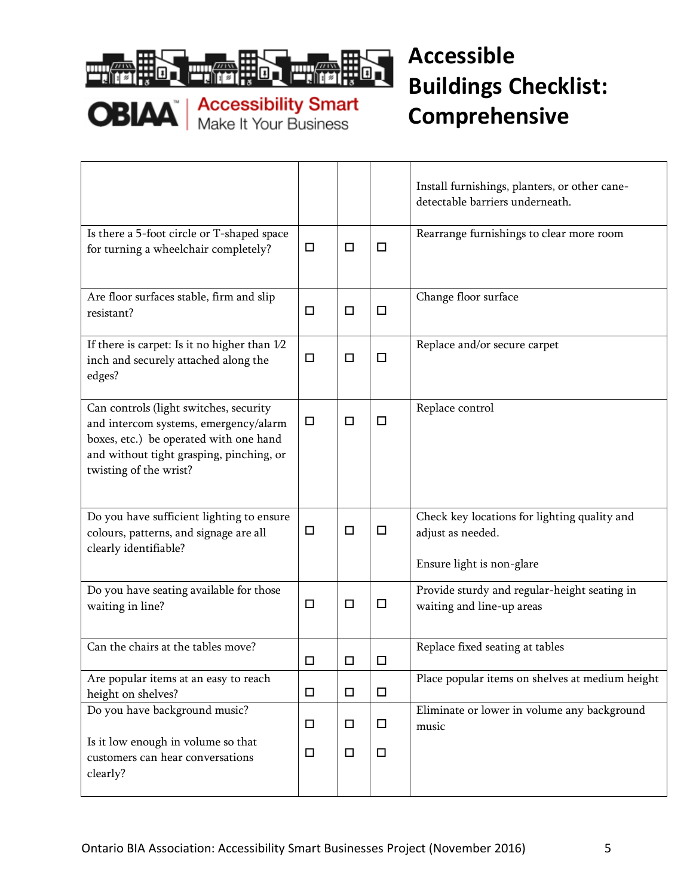

 $\Gamma$ 

**OBIAA** | Accessibility Smart

|                                                                                                                                                                                                 |        |        |        | Install furnishings, planters, or other cane-<br>detectable barriers underneath.               |
|-------------------------------------------------------------------------------------------------------------------------------------------------------------------------------------------------|--------|--------|--------|------------------------------------------------------------------------------------------------|
| Is there a 5-foot circle or T-shaped space<br>for turning a wheelchair completely?                                                                                                              | $\Box$ | $\Box$ | □      | Rearrange furnishings to clear more room                                                       |
| Are floor surfaces stable, firm and slip<br>resistant?                                                                                                                                          | □      | $\Box$ | $\Box$ | Change floor surface                                                                           |
| If there is carpet: Is it no higher than $1/2$<br>inch and securely attached along the<br>edges?                                                                                                | □      | $\Box$ | $\Box$ | Replace and/or secure carpet                                                                   |
| Can controls (light switches, security<br>and intercom systems, emergency/alarm<br>boxes, etc.) be operated with one hand<br>and without tight grasping, pinching, or<br>twisting of the wrist? | $\Box$ | $\Box$ | □      | Replace control                                                                                |
| Do you have sufficient lighting to ensure<br>colours, patterns, and signage are all<br>clearly identifiable?                                                                                    | $\Box$ | $\Box$ | □      | Check key locations for lighting quality and<br>adjust as needed.<br>Ensure light is non-glare |
| Do you have seating available for those<br>waiting in line?                                                                                                                                     | □      | $\Box$ | □      | Provide sturdy and regular-height seating in<br>waiting and line-up areas                      |
| Can the chairs at the tables move?                                                                                                                                                              | □      | $\Box$ | □      | Replace fixed seating at tables                                                                |
| Are popular items at an easy to reach<br>height on shelves?                                                                                                                                     | □      | $\Box$ | $\Box$ | Place popular items on shelves at medium height                                                |
| Do you have background music?                                                                                                                                                                   | $\Box$ | $\Box$ | □      | Eliminate or lower in volume any background<br>music                                           |
| Is it low enough in volume so that<br>customers can hear conversations<br>clearly?                                                                                                              | □      | $\Box$ | $\Box$ |                                                                                                |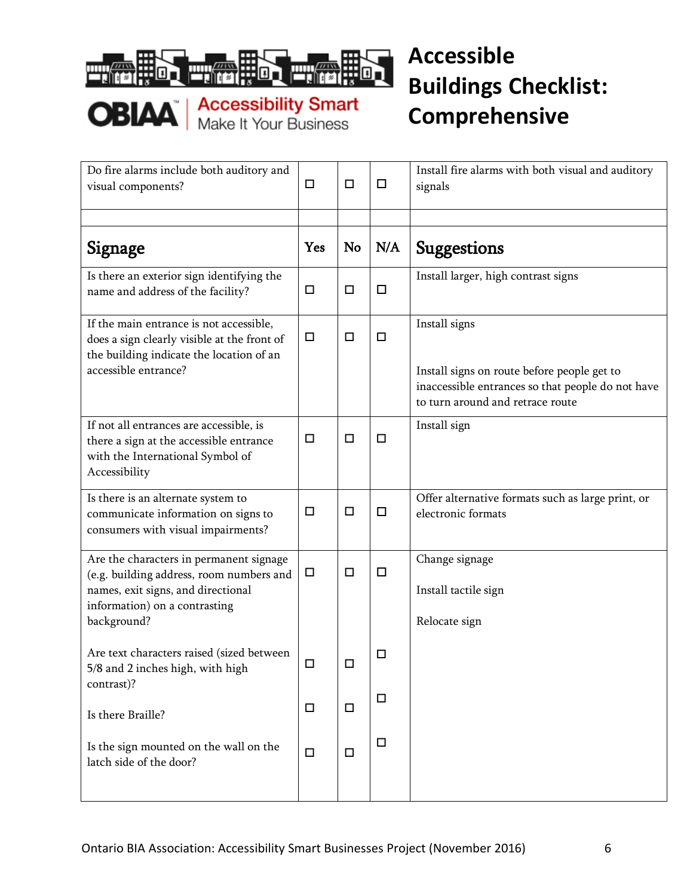

| Do fire alarms include both auditory and<br>visual components?                                                                                                            | $\Box$ | $\Box$    | $\Box$ | Install fire alarms with both visual and auditory<br>signals                                                                                          |
|---------------------------------------------------------------------------------------------------------------------------------------------------------------------------|--------|-----------|--------|-------------------------------------------------------------------------------------------------------------------------------------------------------|
| Signage                                                                                                                                                                   | Yes    | <b>No</b> | N/A    | <b>Suggestions</b>                                                                                                                                    |
| Is there an exterior sign identifying the<br>name and address of the facility?                                                                                            | □      | $\Box$    | $\Box$ | Install larger, high contrast signs                                                                                                                   |
| If the main entrance is not accessible,<br>does a sign clearly visible at the front of<br>the building indicate the location of an<br>accessible entrance?                | $\Box$ | $\Box$    | □      | Install signs<br>Install signs on route before people get to<br>inaccessible entrances so that people do not have<br>to turn around and retrace route |
| If not all entrances are accessible, is<br>there a sign at the accessible entrance<br>with the International Symbol of<br>Accessibility                                   | □      | $\Box$    | $\Box$ | Install sign                                                                                                                                          |
| Is there is an alternate system to<br>communicate information on signs to<br>consumers with visual impairments?                                                           | □      | $\Box$    | $\Box$ | Offer alternative formats such as large print, or<br>electronic formats                                                                               |
| Are the characters in permanent signage<br>(e.g. building address, room numbers and<br>names, exit signs, and directional<br>information) on a contrasting<br>background? | □      | $\Box$    | $\Box$ | Change signage<br>Install tactile sign<br>Relocate sign                                                                                               |
| Are text characters raised (sized between<br>5/8 and 2 inches high, with high<br>contrast)?                                                                               | п      | П         | □      |                                                                                                                                                       |
| Is there Braille?                                                                                                                                                         | $\Box$ | $\Box$    | $\Box$ |                                                                                                                                                       |
| Is the sign mounted on the wall on the<br>latch side of the door?                                                                                                         | $\Box$ | $\Box$    | $\Box$ |                                                                                                                                                       |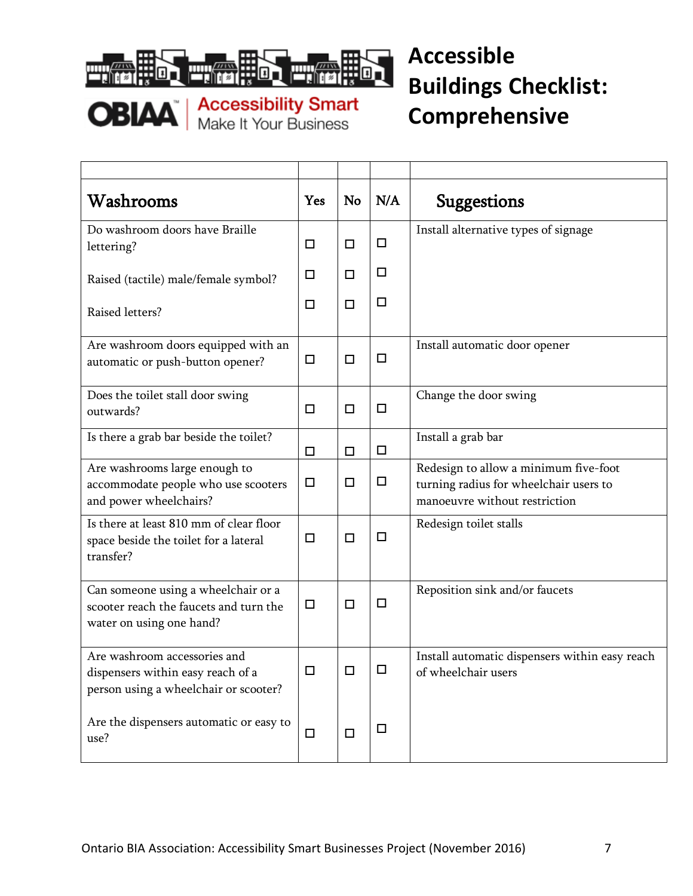

| Washrooms                                                                                                  | Yes    | No     | N/A    | <b>Suggestions</b>                                                                                               |
|------------------------------------------------------------------------------------------------------------|--------|--------|--------|------------------------------------------------------------------------------------------------------------------|
| Do washroom doors have Braille<br>lettering?                                                               | $\Box$ | □      | $\Box$ | Install alternative types of signage                                                                             |
| Raised (tactile) male/female symbol?                                                                       | $\Box$ | $\Box$ | $\Box$ |                                                                                                                  |
| Raised letters?                                                                                            | □      | $\Box$ | $\Box$ |                                                                                                                  |
| Are washroom doors equipped with an<br>automatic or push-button opener?                                    | $\Box$ | $\Box$ | $\Box$ | Install automatic door opener                                                                                    |
| Does the toilet stall door swing<br>outwards?                                                              | $\Box$ | $\Box$ | $\Box$ | Change the door swing                                                                                            |
| Is there a grab bar beside the toilet?                                                                     | $\Box$ | $\Box$ | $\Box$ | Install a grab bar                                                                                               |
| Are washrooms large enough to<br>accommodate people who use scooters<br>and power wheelchairs?             | $\Box$ | $\Box$ | $\Box$ | Redesign to allow a minimum five-foot<br>turning radius for wheelchair users to<br>manoeuvre without restriction |
| Is there at least 810 mm of clear floor<br>space beside the toilet for a lateral<br>transfer?              | $\Box$ | $\Box$ | $\Box$ | Redesign toilet stalls                                                                                           |
| Can someone using a wheelchair or a<br>scooter reach the faucets and turn the<br>water on using one hand?  | $\Box$ | $\Box$ | $\Box$ | Reposition sink and/or faucets                                                                                   |
| Are washroom accessories and<br>dispensers within easy reach of a<br>person using a wheelchair or scooter? | $\Box$ | $\Box$ | $\Box$ | Install automatic dispensers within easy reach<br>of wheelchair users                                            |
| Are the dispensers automatic or easy to<br>use?                                                            | $\Box$ | $\Box$ | $\Box$ |                                                                                                                  |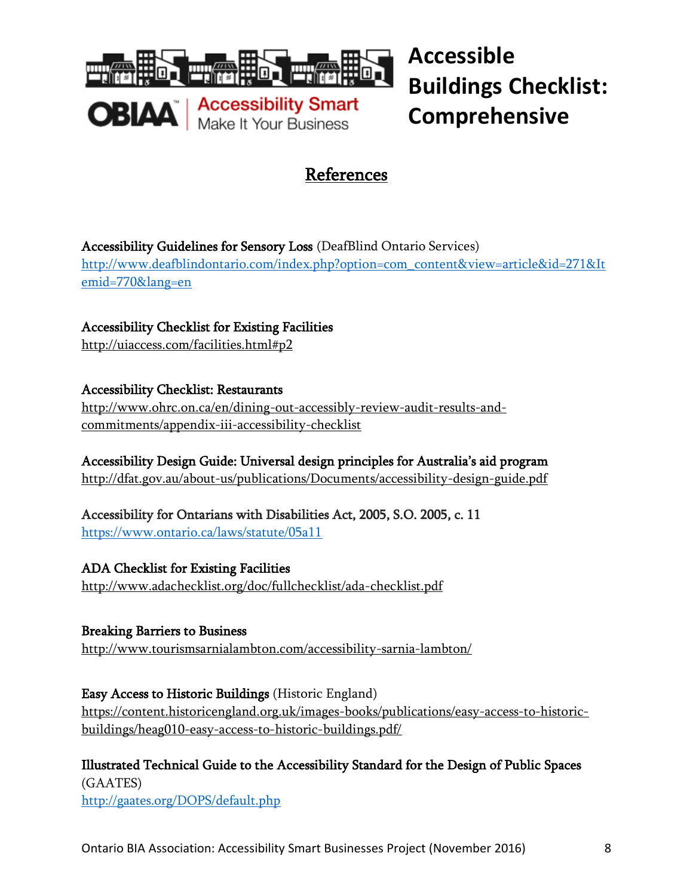

**Accessible Buildings Checklist: Comprehensive**

#### References

Accessibility Guidelines for Sensory Loss (DeafBlind Ontario Services)

[http://www.deafblindontario.com/index.php?option=com\\_content&view=article&id=271&It](http://www.deafblindontario.com/index.php?option=com_content&view=article&id=271&Itemid=770&lang=en) [emid=770&lang=en](http://www.deafblindontario.com/index.php?option=com_content&view=article&id=271&Itemid=770&lang=en)

Accessibility Checklist for Existing Facilities <http://uiaccess.com/facilities.html#p2>

Accessibility Checklist: Restaurants

[http://www.ohrc.on.ca/en/dining-out-accessibly-review-audit-results-and](http://www.ohrc.on.ca/en/dining-out-accessibly-review-audit-results-and-commitments/appendix-iii-accessibility-checklist)[commitments/appendix-iii-accessibility-checklist](http://www.ohrc.on.ca/en/dining-out-accessibly-review-audit-results-and-commitments/appendix-iii-accessibility-checklist)

Accessibility Design Guide: Universal design principles for Australia's aid program <http://dfat.gov.au/about-us/publications/Documents/accessibility-design-guide.pdf>

Accessibility for Ontarians with Disabilities Act, 2005, S.O. 2005, c. 11 <https://www.ontario.ca/laws/statute/05a11>

ADA Checklist for Existing Facilities <http://www.adachecklist.org/doc/fullchecklist/ada-checklist.pdf>

Breaking Barriers to Business <http://www.tourismsarnialambton.com/accessibility-sarnia-lambton/>

Easy Access to Historic Buildings (Historic England) [https://content.historicengland.org.uk/images-books/publications/easy-access-to-historic](https://content.historicengland.org.uk/images-books/publications/easy-access-to-historic-buildings/heag010-easy-access-to-historic-buildings.pdf/)[buildings/heag010-easy-access-to-historic-buildings.pdf/](https://content.historicengland.org.uk/images-books/publications/easy-access-to-historic-buildings/heag010-easy-access-to-historic-buildings.pdf/)

Illustrated Technical Guide to the Accessibility Standard for the Design of Public Spaces (GAATES) <http://gaates.org/DOPS/default.php>